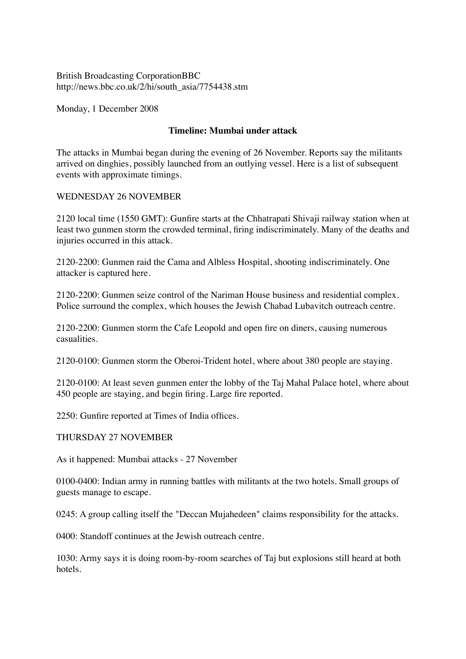British Broadcasting CorporationBBC http://news.bbc.co.uk/2/hi/south\_asia/7754438.stm

Monday, 1 December 2008

# **Timeline: Mumbai under attack**

The attacks in Mumbai began during the evening of 26 November. Reports say the militants arrived on dinghies, possibly launched from an outlying vessel. Here is a list of subsequent events with approximate timings.

# WEDNESDAY 26 NOVEMBER

2120 local time (1550 GMT): Gunfire starts at the Chhatrapati Shivaji railway station when at least two gunmen storm the crowded terminal, firing indiscriminately. Many of the deaths and injuries occurred in this attack.

2120-2200: Gunmen raid the Cama and Albless Hospital, shooting indiscriminately. One attacker is captured here.

2120-2200: Gunmen seize control of the Nariman House business and residential complex. Police surround the complex, which houses the Jewish Chabad Lubavitch outreach centre.

2120-2200: Gunmen storm the Cafe Leopold and open fire on diners, causing numerous casualities.

2120-0100: Gunmen storm the Oberoi-Trident hotel, where about 380 people are staying.

2120-0100: At least seven gunmen enter the lobby of the Taj Mahal Palace hotel, where about 450 people are staying, and begin firing. Large fire reported.

2250: Gunfire reported at Times of India offices.

### THURSDAY 27 NOVEMBER

As it happened: Mumbai attacks - 27 November

0100-0400: Indian army in running battles with militants at the two hotels. Small groups of guests manage to escape.

0245: A group calling itself the "Deccan Mujahedeen" claims responsibility for the attacks.

0400: Standoff continues at the Jewish outreach centre.

1030: Army says it is doing room-by-room searches of Taj but explosions still heard at both hotels.